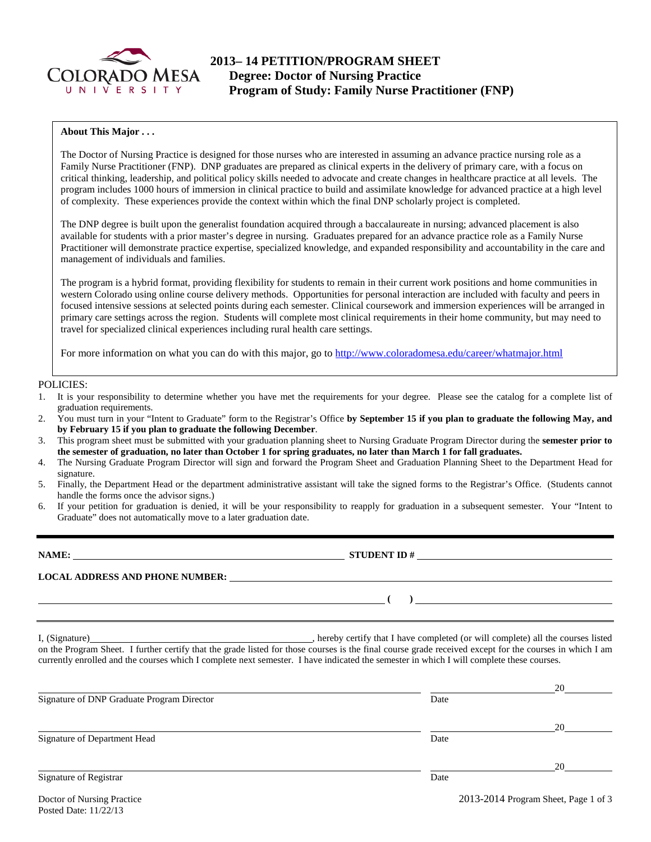

### **About This Major . . .**

The Doctor of Nursing Practice is designed for those nurses who are interested in assuming an advance practice nursing role as a Family Nurse Practitioner (FNP). DNP graduates are prepared as clinical experts in the delivery of primary care, with a focus on critical thinking, leadership, and political policy skills needed to advocate and create changes in healthcare practice at all levels. The program includes 1000 hours of immersion in clinical practice to build and assimilate knowledge for advanced practice at a high level of complexity. These experiences provide the context within which the final DNP scholarly project is completed.

The DNP degree is built upon the generalist foundation acquired through a baccalaureate in nursing; advanced placement is also available for students with a prior master's degree in nursing. Graduates prepared for an advance practice role as a Family Nurse Practitioner will demonstrate practice expertise, specialized knowledge, and expanded responsibility and accountability in the care and management of individuals and families.

The program is a hybrid format, providing flexibility for students to remain in their current work positions and home communities in western Colorado using online course delivery methods. Opportunities for personal interaction are included with faculty and peers in focused intensive sessions at selected points during each semester. Clinical coursework and immersion experiences will be arranged in primary care settings across the region. Students will complete most clinical requirements in their home community, but may need to travel for specialized clinical experiences including rural health care settings.

For more information on what you can do with this major, go to<http://www.coloradomesa.edu/career/whatmajor.html>

#### POLICIES:

- 1. It is your responsibility to determine whether you have met the requirements for your degree. Please see the catalog for a complete list of graduation requirements.
- 2. You must turn in your "Intent to Graduate" form to the Registrar's Office **by September 15 if you plan to graduate the following May, and by February 15 if you plan to graduate the following December**.
- 3. This program sheet must be submitted with your graduation planning sheet to Nursing Graduate Program Director during the **semester prior to the semester of graduation, no later than October 1 for spring graduates, no later than March 1 for fall graduates.**
- 4. The Nursing Graduate Program Director will sign and forward the Program Sheet and Graduation Planning Sheet to the Department Head for signature.
- 5. Finally, the Department Head or the department administrative assistant will take the signed forms to the Registrar's Office. (Students cannot handle the forms once the advisor signs.)
- 6. If your petition for graduation is denied, it will be your responsibility to reapply for graduation in a subsequent semester. Your "Intent to Graduate" does not automatically move to a later graduation date.

**NAME: STUDENT ID #** 

**( )** 

**LOCAL ADDRESS AND PHONE NUMBER:**

I, (Signature) **Source 2008** (Signature) **, hereby certify that I have completed** (or will complete) all the courses listed on the Program Sheet. I further certify that the grade listed for those courses is the final course grade received except for the courses in which I am currently enrolled and the courses which I complete next semester. I have indicated the semester in which I will complete these courses.

|                                            |      | 20 |
|--------------------------------------------|------|----|
| Signature of DNP Graduate Program Director | Date |    |
|                                            |      | 20 |
| Signature of Department Head               | Date |    |
|                                            |      | 20 |
| Signature of Registrar                     | Date |    |

Doctor of Nursing Practice 2013-2014 Program Sheet, Page 1 of 3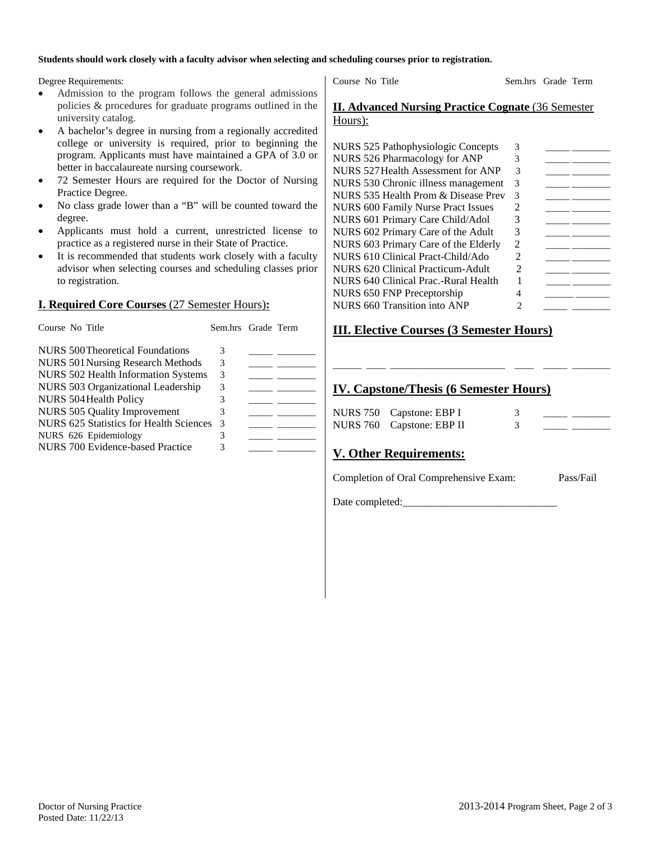### **Students should work closely with a faculty advisor when selecting and scheduling courses prior to registration.**

Degree Requirements:

- Admission to the program follows the general admissions policies & procedures for graduate programs outlined in the university catalog.
- A bachelor's degree in nursing from a regionally accredited college or university is required, prior to beginning the program. Applicants must have maintained a GPA of 3.0 or better in baccalaureate nursing coursework.
- 72 Semester Hours are required for the Doctor of Nursing Practice Degree.
- No class grade lower than a "B" will be counted toward the degree.
- Applicants must hold a current, unrestricted license to practice as a registered nurse in their State of Practice.
- It is recommended that students work closely with a faculty advisor when selecting courses and scheduling classes prior to registration.

## **I. Required Core Courses** (27 Semester Hours)**:**

| Course No Title                            | Sem.hrs Grade Term |  |
|--------------------------------------------|--------------------|--|
| NURS 500 Theoretical Foundations           | 3                  |  |
| NURS 501 Nursing Research Methods          | 3                  |  |
| <b>NURS 502 Health Information Systems</b> | 3                  |  |
| NURS 503 Organizational Leadership         | 3                  |  |
| <b>NURS 504 Health Policy</b>              | 3                  |  |
| <b>NURS 505 Quality Improvement</b>        | 3                  |  |
| NURS 625 Statistics for Health Sciences    | -3                 |  |
| NURS 626 Epidemiology                      | 3                  |  |
| NURS 700 Evidence-based Practice           | 3                  |  |

Course No Title Sem.hrs Grade Term

## **II. Advanced Nursing Practice Cognate** (36 Semester Hours):

| <b>NURS 525 Pathophysiologic Concepts</b> | 3                           |  |
|-------------------------------------------|-----------------------------|--|
| NURS 526 Pharmacology for ANP             |                             |  |
| NURS 527 Health Assessment for ANP        | 3                           |  |
| NURS 530 Chronic illness management       | 3                           |  |
| NURS 535 Health Prom & Disease Prev       | 3                           |  |
| <b>NURS 600 Family Nurse Pract Issues</b> | $\mathcal{D}_{\mathcal{L}}$ |  |
| NURS 601 Primary Care Child/Adol          | 3                           |  |
| NURS 602 Primary Care of the Adult        | 3                           |  |
| NURS 603 Primary Care of the Elderly      | $\mathcal{D}_{\mathcal{L}}$ |  |
| NURS 610 Clinical Pract-Child/Ado         | $\mathfrak{D}$              |  |
| NURS 620 Clinical Practicum-Adult         | $\mathcal{D}_{\mathcal{A}}$ |  |
| NURS 640 Clinical Prac.-Rural Health      |                             |  |
| <b>NURS 650 FNP Preceptorship</b>         |                             |  |
| <b>NURS 660 Transition into ANP</b>       | 2                           |  |
|                                           |                             |  |

# **III. Elective Courses (3 Semester Hours)**

# **IV. Capstone/Thesis (6 Semester Hours)**

| NURS 750 Capstone: EBP I  |  |  |
|---------------------------|--|--|
| NURS 760 Capstone: EBP II |  |  |

\_\_\_\_\_\_ \_\_\_\_ \_\_\_\_\_\_\_\_\_\_\_\_\_\_\_\_\_\_\_\_\_\_\_\_ \_\_\_\_ \_\_\_\_\_ \_\_\_\_\_\_\_\_

# **V. Other Requirements:**

Completion of Oral Comprehensive Exam: Pass/Fail

Date completed: